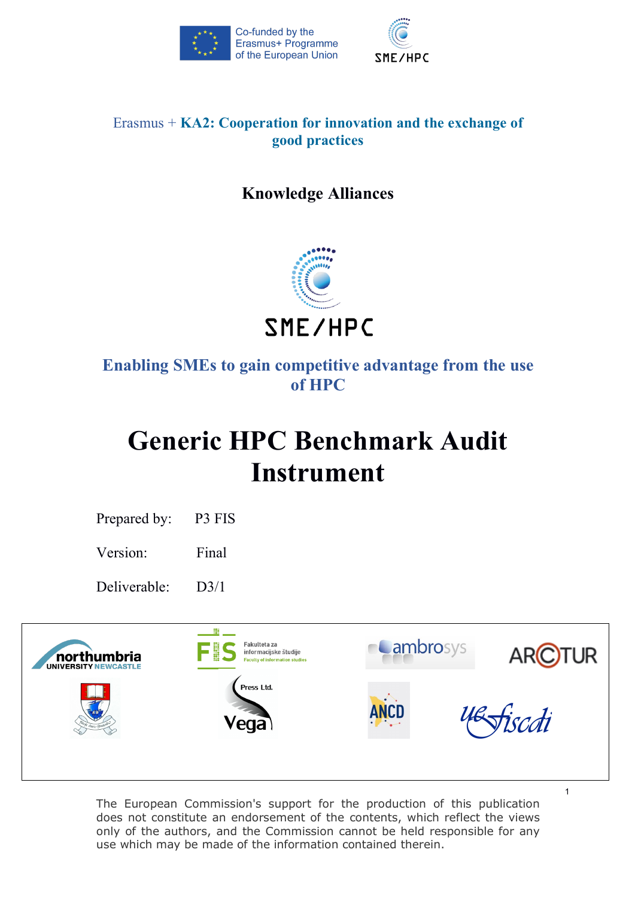



# Erasmus + **KA2: Cooperation for innovation and the exchange of good practices**

# **Knowledge Alliances**



# **Enabling SMEs to gain competitive advantage from the use of HPC**

# **Generic HPC Benchmark Audit Instrument**

Prepared by: P3 FIS

Version: Final

Deliverable: D3/1



The European Commission's support for the production of this publication does not constitute an endorsement of the contents, which reflect the views only of the authors, and the Commission cannot be held responsible for any use which may be made of the information contained therein.

1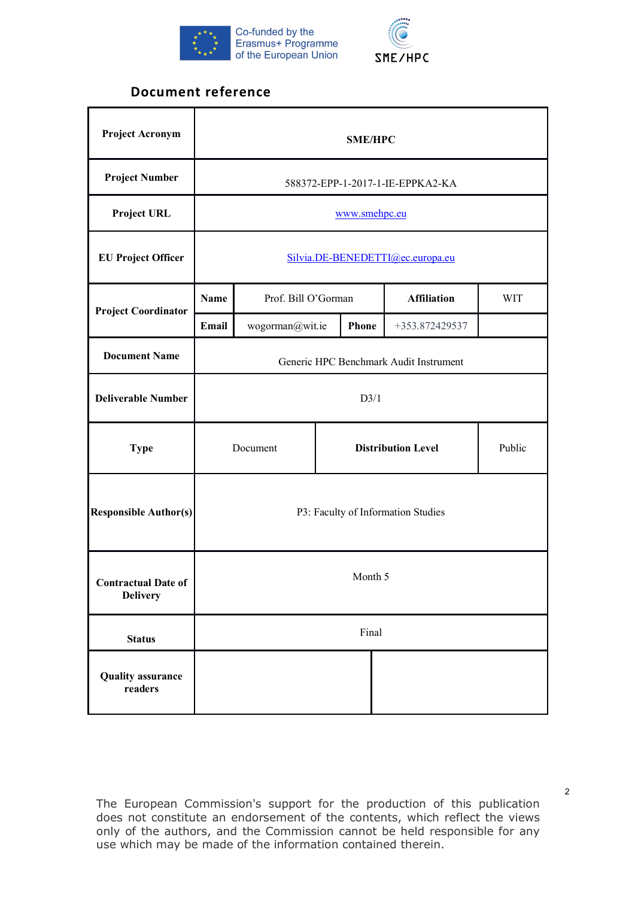



# **Document reference**

| <b>Project Acronym</b>                        |                                                 | <b>SME/HPC</b>                         |  |              |                    |            |  |
|-----------------------------------------------|-------------------------------------------------|----------------------------------------|--|--------------|--------------------|------------|--|
| <b>Project Number</b>                         |                                                 | 588372-EPP-1-2017-1-IE-EPPKA2-KA       |  |              |                    |            |  |
| <b>Project URL</b>                            |                                                 | www.smehpc.eu                          |  |              |                    |            |  |
| <b>EU Project Officer</b>                     |                                                 | Silvia.DE-BENEDETTI@ec.europa.eu       |  |              |                    |            |  |
| <b>Project Coordinator</b>                    | <b>Name</b>                                     | Prof. Bill O'Gorman                    |  |              | <b>Affiliation</b> | <b>WIT</b> |  |
|                                               | Email                                           | wogorman@wit.ie                        |  | <b>Phone</b> | +353.872429537     |            |  |
| <b>Document Name</b>                          |                                                 | Generic HPC Benchmark Audit Instrument |  |              |                    |            |  |
| <b>Deliverable Number</b>                     |                                                 | D3/1                                   |  |              |                    |            |  |
| <b>Type</b>                                   | <b>Distribution Level</b><br>Public<br>Document |                                        |  |              |                    |            |  |
| <b>Responsible Author(s)</b>                  |                                                 | P3: Faculty of Information Studies     |  |              |                    |            |  |
| <b>Contractual Date of</b><br><b>Delivery</b> |                                                 | Month 5                                |  |              |                    |            |  |
| <b>Status</b>                                 |                                                 |                                        |  | Final        |                    |            |  |
| <b>Quality assurance</b><br>readers           |                                                 |                                        |  |              |                    |            |  |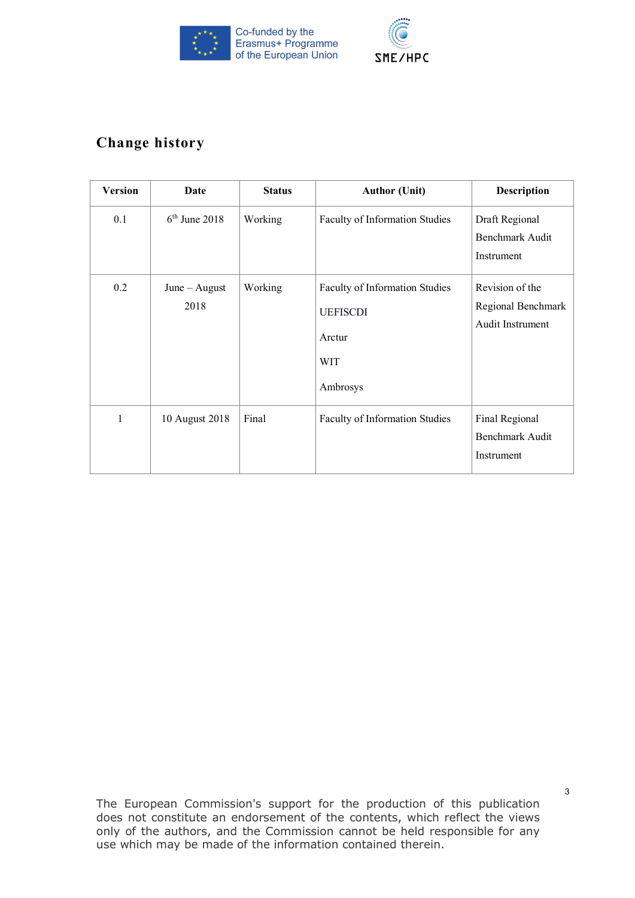



# **Change history**

| <b>Version</b> | Date                    | <b>Status</b> | <b>Author (Unit)</b>                                                                  | <b>Description</b>                                        |
|----------------|-------------------------|---------------|---------------------------------------------------------------------------------------|-----------------------------------------------------------|
| 0.1            | $6th$ June 2018         | Working       | Faculty of Information Studies                                                        | Draft Regional<br><b>Benchmark Audit</b><br>Instrument    |
| 0.2            | $June - August$<br>2018 | Working       | Faculty of Information Studies<br><b>UEFISCDI</b><br>Arctur<br><b>WIT</b><br>Ambrosys | Revision of the<br>Regional Benchmark<br>Audit Instrument |
| 1              | 10 August 2018          | Final         | Faculty of Information Studies                                                        | Final Regional<br><b>Benchmark Audit</b><br>Instrument    |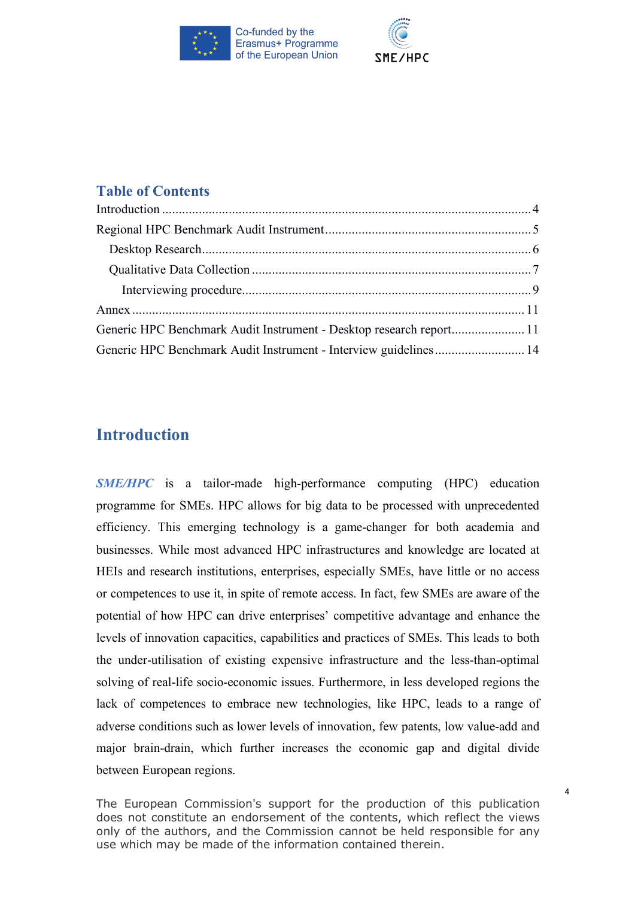



# **Table of Contents**

| Generic HPC Benchmark Audit Instrument - Desktop research report 11 |  |
|---------------------------------------------------------------------|--|
| Generic HPC Benchmark Audit Instrument - Interview guidelines 14    |  |

# **Introduction**

*SME/HPC* is a tailor-made high-performance computing (HPC) education programme for SMEs. HPC allows for big data to be processed with unprecedented efficiency. This emerging technology is a game-changer for both academia and businesses. While most advanced HPC infrastructures and knowledge are located at HEIs and research institutions, enterprises, especially SMEs, have little or no access or competences to use it, in spite of remote access. In fact, few SMEs are aware of the potential of how HPC can drive enterprises' competitive advantage and enhance the levels of innovation capacities, capabilities and practices of SMEs. This leads to both the under-utilisation of existing expensive infrastructure and the less-than-optimal solving of real-life socio-economic issues. Furthermore, in less developed regions the lack of competences to embrace new technologies, like HPC, leads to a range of adverse conditions such as lower levels of innovation, few patents, low value-add and major brain-drain, which further increases the economic gap and digital divide between European regions.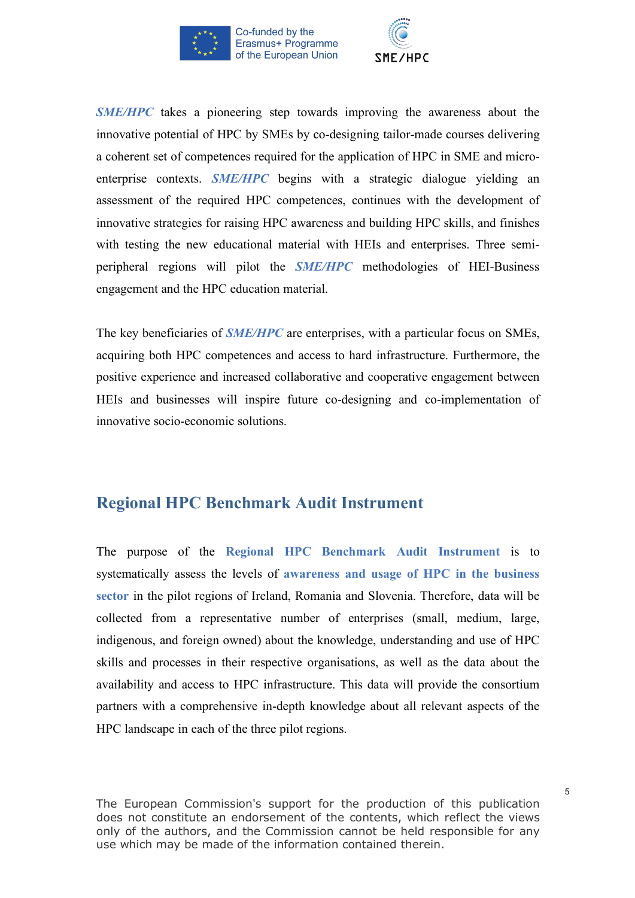



*SME/HPC* takes a pioneering step towards improving the awareness about the innovative potential of HPC by SMEs by co-designing tailor-made courses delivering a coherent set of competences required for the application of HPC in SME and microenterprise contexts. *SME/HPC* begins with a strategic dialogue yielding an assessment of the required HPC competences, continues with the development of innovative strategies for raising HPC awareness and building HPC skills, and finishes with testing the new educational material with HEIs and enterprises. Three semiperipheral regions will pilot the *SME/HPC* methodologies of HEI-Business engagement and the HPC education material.

The key beneficiaries of *SME/HPC* are enterprises, with a particular focus on SMEs, acquiring both HPC competences and access to hard infrastructure. Furthermore, the positive experience and increased collaborative and cooperative engagement between HEIs and businesses will inspire future co-designing and co-implementation of innovative socio-economic solutions.

# **Regional HPC Benchmark Audit Instrument**

The purpose of the **Regional HPC Benchmark Audit Instrument** is to systematically assess the levels of **awareness and usage of HPC in the business sector** in the pilot regions of Ireland, Romania and Slovenia. Therefore, data will be collected from a representative number of enterprises (small, medium, large, indigenous, and foreign owned) about the knowledge, understanding and use of HPC skills and processes in their respective organisations, as well as the data about the availability and access to HPC infrastructure. This data will provide the consortium partners with a comprehensive in-depth knowledge about all relevant aspects of the HPC landscape in each of the three pilot regions.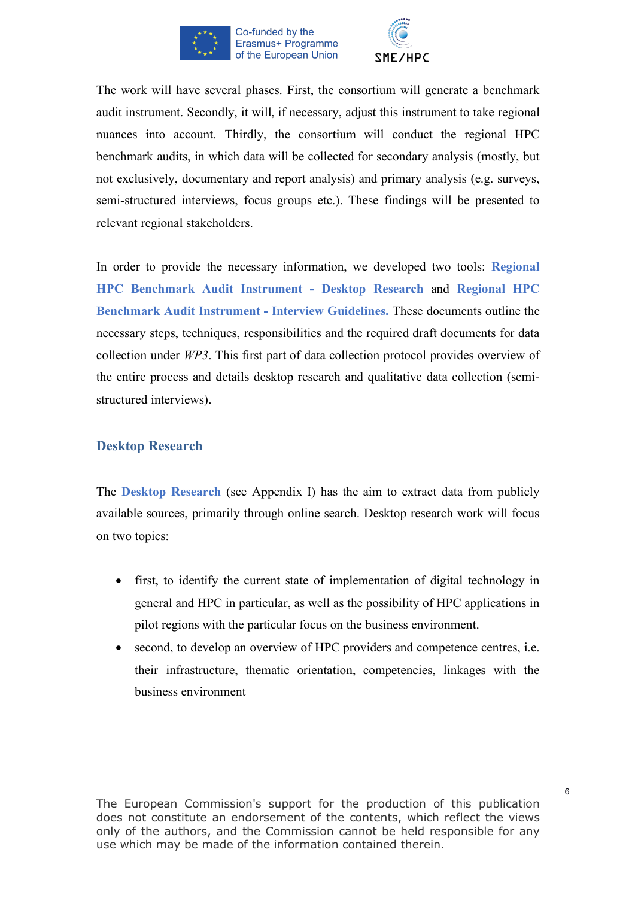



The work will have several phases. First, the consortium will generate a benchmark audit instrument. Secondly, it will, if necessary, adjust this instrument to take regional nuances into account. Thirdly, the consortium will conduct the regional HPC benchmark audits, in which data will be collected for secondary analysis (mostly, but not exclusively, documentary and report analysis) and primary analysis (e.g. surveys, semi-structured interviews, focus groups etc.). These findings will be presented to relevant regional stakeholders.

In order to provide the necessary information, we developed two tools: **Regional HPC Benchmark Audit Instrument - Desktop Research** and **Regional HPC Benchmark Audit Instrument - Interview Guidelines.** These documents outline the necessary steps, techniques, responsibilities and the required draft documents for data collection under *WP3*. This first part of data collection protocol provides overview of the entire process and details desktop research and qualitative data collection (semistructured interviews).

# **Desktop Research**

The **Desktop Research** (see Appendix I) has the aim to extract data from publicly available sources, primarily through online search. Desktop research work will focus on two topics:

- first, to identify the current state of implementation of digital technology in general and HPC in particular, as well as the possibility of HPC applications in pilot regions with the particular focus on the business environment.
- second, to develop an overview of HPC providers and competence centres, *i.e.* their infrastructure, thematic orientation, competencies, linkages with the business environment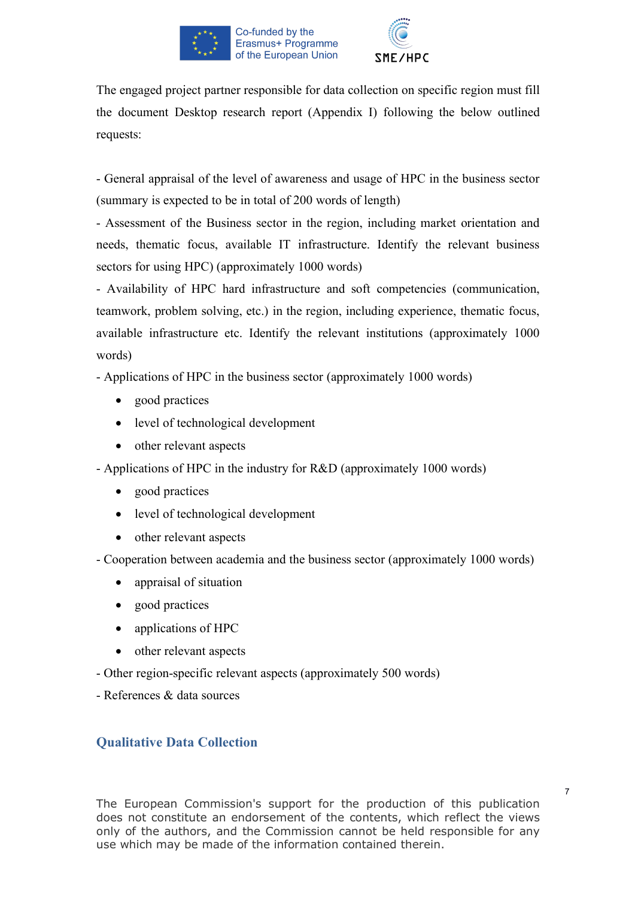



The engaged project partner responsible for data collection on specific region must fill the document Desktop research report (Appendix I) following the below outlined requests:

- General appraisal of the level of awareness and usage of HPC in the business sector (summary is expected to be in total of 200 words of length)

- Assessment of the Business sector in the region, including market orientation and needs, thematic focus, available IT infrastructure. Identify the relevant business sectors for using HPC) (approximately 1000 words)

- Availability of HPC hard infrastructure and soft competencies (communication, teamwork, problem solving, etc.) in the region, including experience, thematic focus, available infrastructure etc. Identify the relevant institutions (approximately 1000 words)

- Applications of HPC in the business sector (approximately 1000 words)

- good practices
- level of technological development
- other relevant aspects

- Applications of HPC in the industry for R&D (approximately 1000 words)

- good practices
- level of technological development
- other relevant aspects

- Cooperation between academia and the business sector (approximately 1000 words)

- appraisal of situation
- good practices
- applications of HPC
- other relevant aspects
- Other region-specific relevant aspects (approximately 500 words)

- References & data sources

# **Qualitative Data Collection**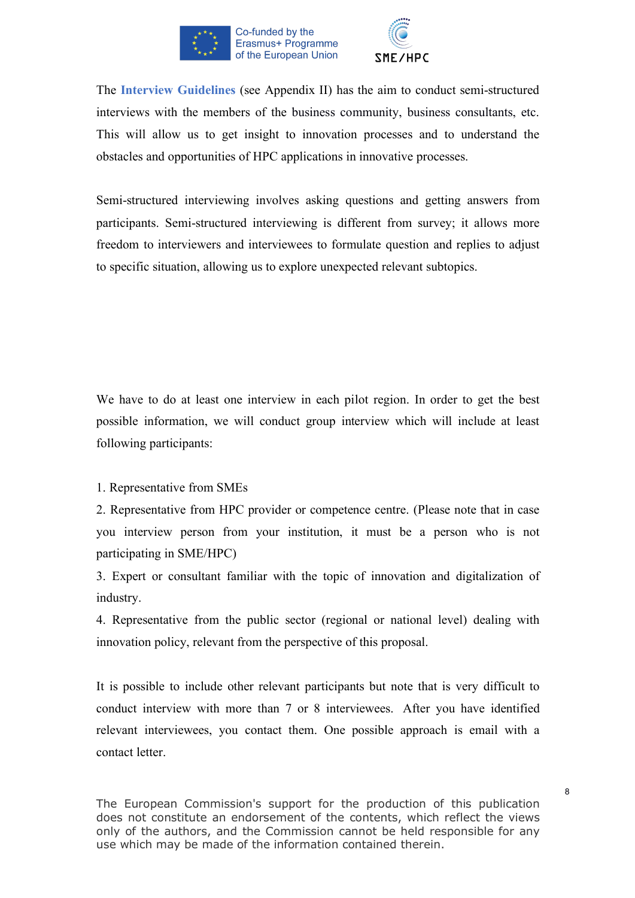



The **Interview Guidelines** (see Appendix II) has the aim to conduct semi-structured interviews with the members of the business community, business consultants, etc. This will allow us to get insight to innovation processes and to understand the obstacles and opportunities of HPC applications in innovative processes.

Semi-structured interviewing involves asking questions and getting answers from participants. Semi-structured interviewing is different from survey; it allows more freedom to interviewers and interviewees to formulate question and replies to adjust to specific situation, allowing us to explore unexpected relevant subtopics.

We have to do at least one interview in each pilot region. In order to get the best possible information, we will conduct group interview which will include at least following participants:

1. Representative from SMEs

2. Representative from HPC provider or competence centre. (Please note that in case you interview person from your institution, it must be a person who is not participating in SME/HPC)

3. Expert or consultant familiar with the topic of innovation and digitalization of industry.

4. Representative from the public sector (regional or national level) dealing with innovation policy, relevant from the perspective of this proposal.

It is possible to include other relevant participants but note that is very difficult to conduct interview with more than 7 or 8 interviewees. After you have identified relevant interviewees, you contact them. One possible approach is email with a contact letter.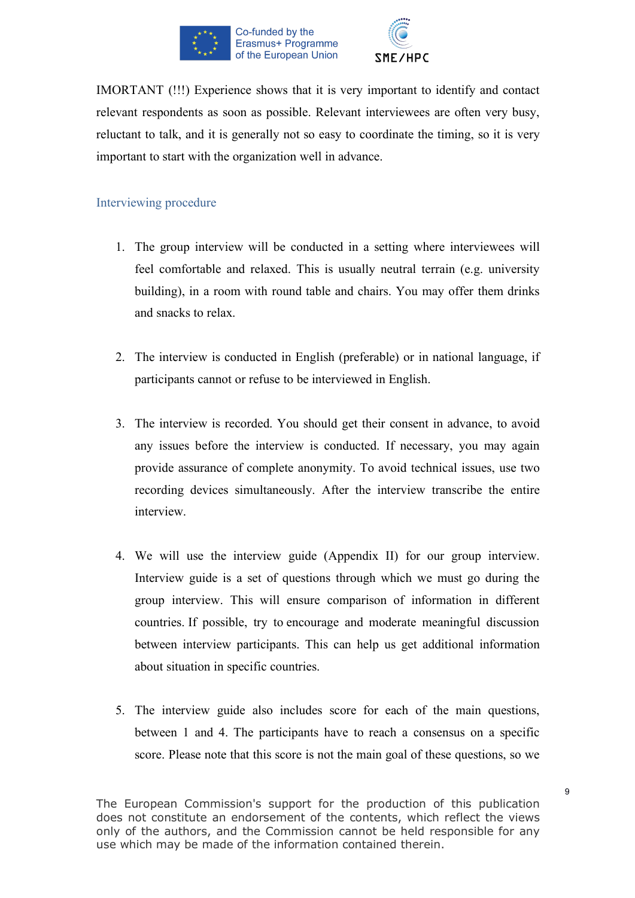



IMORTANT (!!!) Experience shows that it is very important to identify and contact relevant respondents as soon as possible. Relevant interviewees are often very busy, reluctant to talk, and it is generally not so easy to coordinate the timing, so it is very important to start with the organization well in advance.

# Interviewing procedure

- 1. The group interview will be conducted in a setting where interviewees will feel comfortable and relaxed. This is usually neutral terrain (e.g. university building), in a room with round table and chairs. You may offer them drinks and snacks to relax.
- 2. The interview is conducted in English (preferable) or in national language, if participants cannot or refuse to be interviewed in English.
- 3. The interview is recorded. You should get their consent in advance, to avoid any issues before the interview is conducted. If necessary, you may again provide assurance of complete anonymity. To avoid technical issues, use two recording devices simultaneously. After the interview transcribe the entire interview.
- 4. We will use the interview guide (Appendix II) for our group interview. Interview guide is a set of questions through which we must go during the group interview. This will ensure comparison of information in different countries. If possible, try to encourage and moderate meaningful discussion between interview participants. This can help us get additional information about situation in specific countries.
- 5. The interview guide also includes score for each of the main questions, between 1 and 4. The participants have to reach a consensus on a specific score. Please note that this score is not the main goal of these questions, so we

The European Commission's support for the production of this publication does not constitute an endorsement of the contents, which reflect the views only of the authors, and the Commission cannot be held responsible for any use which may be made of the information contained therein.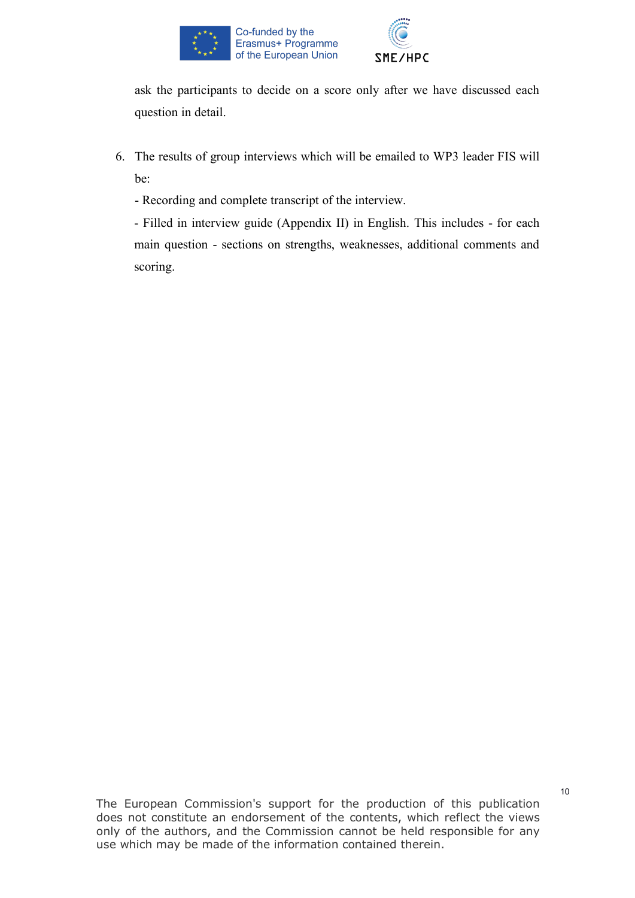



ask the participants to decide on a score only after we have discussed each question in detail.

6. The results of group interviews which will be emailed to WP3 leader FIS will be:

- Recording and complete transcript of the interview.

- Filled in interview guide (Appendix II) in English. This includes - for each main question - sections on strengths, weaknesses, additional comments and scoring.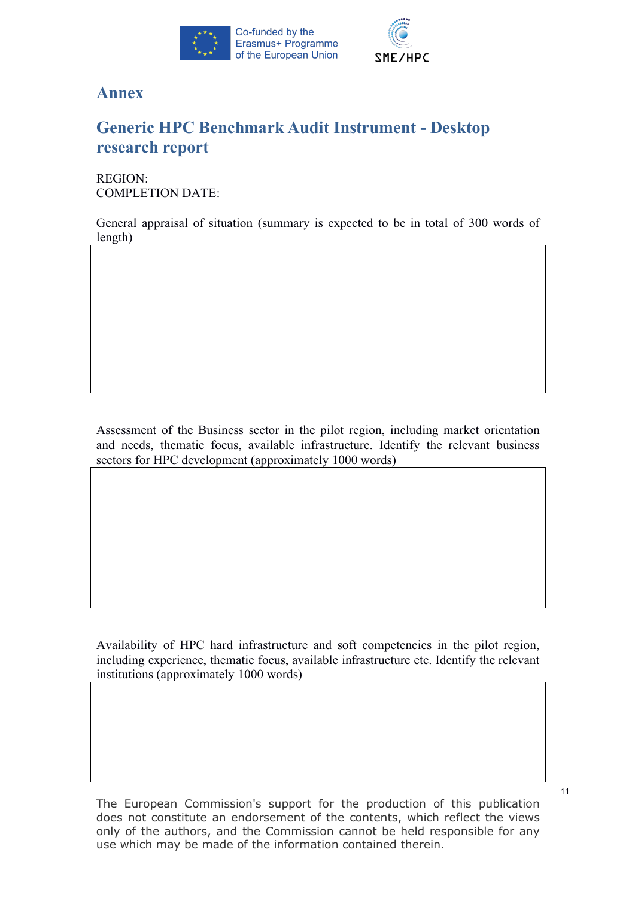



# **Annex**

# **Generic HPC Benchmark Audit Instrument - Desktop research report**

REGION: COMPLETION DATE:

General appraisal of situation (summary is expected to be in total of 300 words of length)

Assessment of the Business sector in the pilot region, including market orientation and needs, thematic focus, available infrastructure. Identify the relevant business sectors for HPC development (approximately 1000 words)

Availability of HPC hard infrastructure and soft competencies in the pilot region, including experience, thematic focus, available infrastructure etc. Identify the relevant institutions (approximately 1000 words)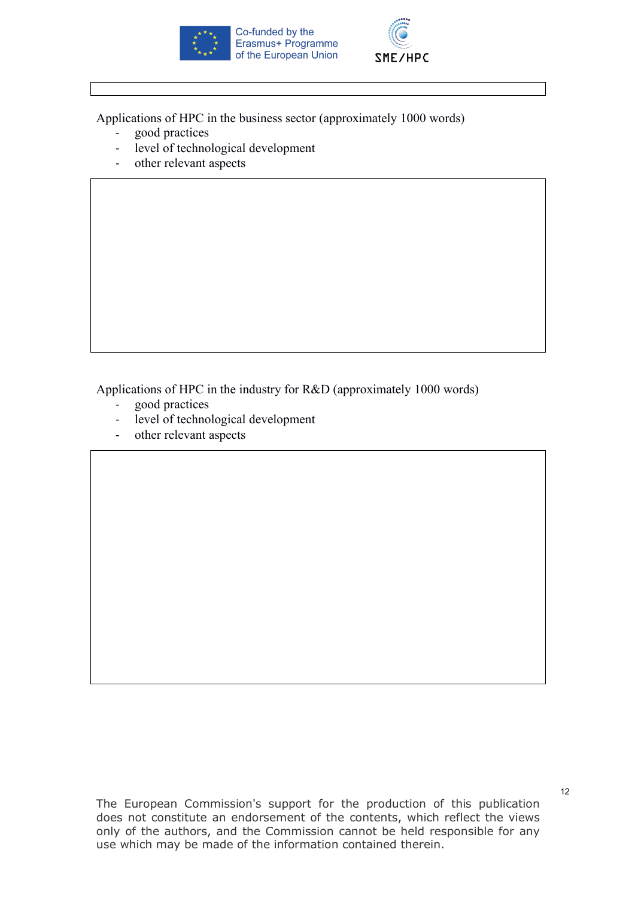



Applications of HPC in the business sector (approximately 1000 words)

- good practices
- level of technological development
- other relevant aspects

Applications of HPC in the industry for R&D (approximately 1000 words)

- good practices
- level of technological development
- other relevant aspects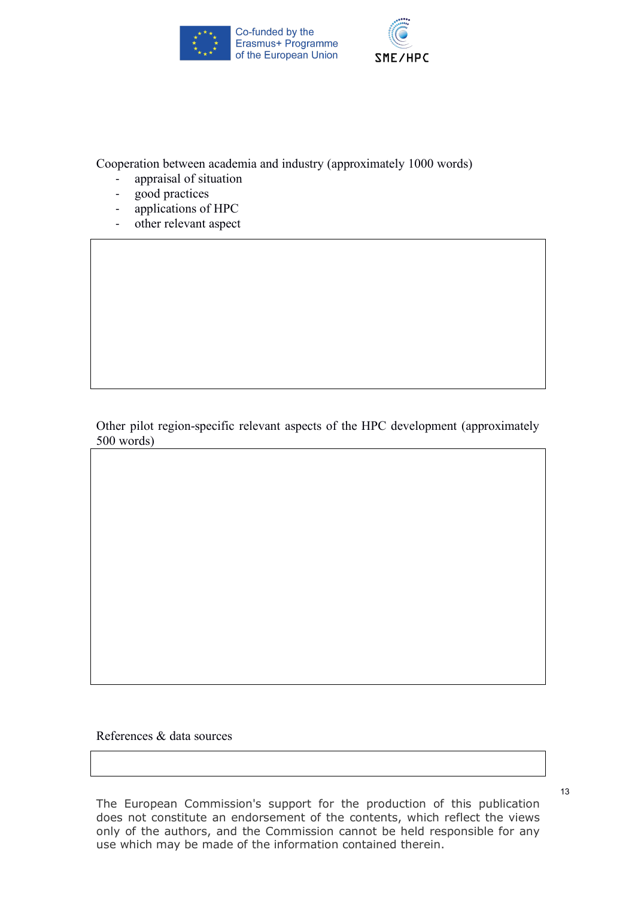



Cooperation between academia and industry (approximately 1000 words)

- appraisal of situation
- good practices
- applications of HPC
- other relevant aspect

Other pilot region-specific relevant aspects of the HPC development (approximately 500 words)

References & data sources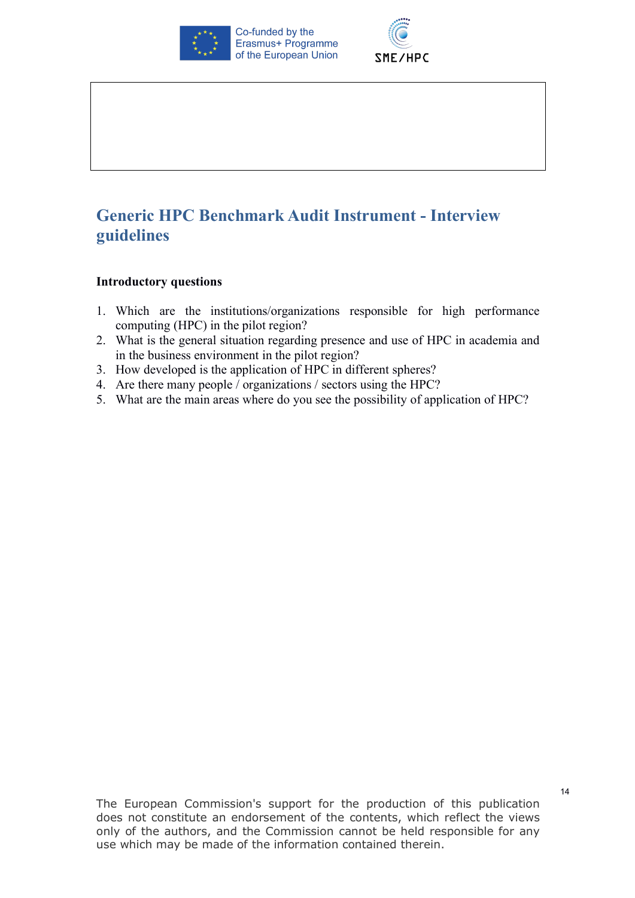



# **Generic HPC Benchmark Audit Instrument - Interview guidelines**

#### **Introductory questions**

- 1. Which are the institutions/organizations responsible for high performance computing (HPC) in the pilot region?
- 2. What is the general situation regarding presence and use of HPC in academia and in the business environment in the pilot region?
- 3. How developed is the application of HPC in different spheres?
- 4. Are there many people / organizations / sectors using the HPC?
- 5. What are the main areas where do you see the possibility of application of HPC?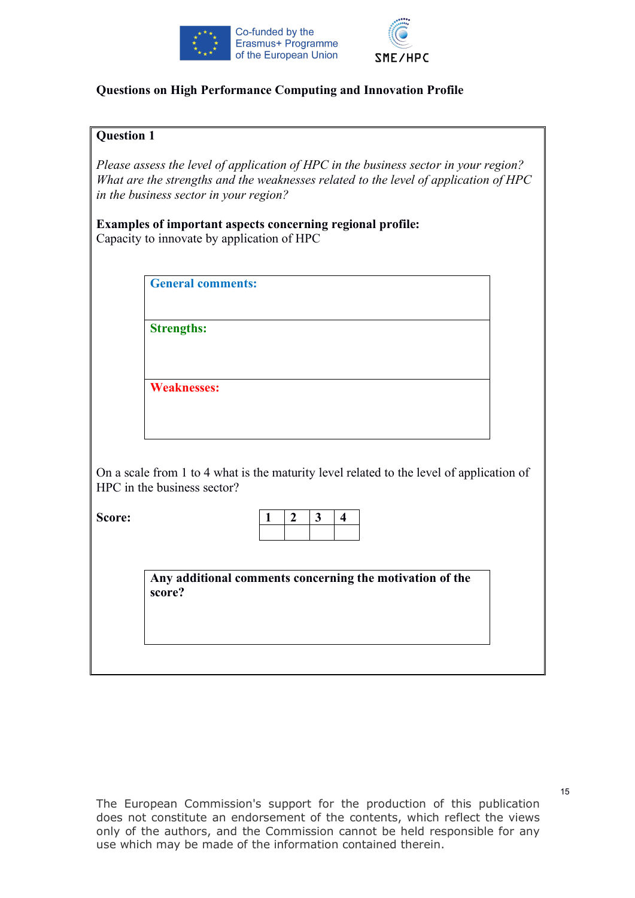



# **Questions on High Performance Computing and Innovation Profile**

#### **Question 1**

*1. Please assess the level of application of HPC in the business sector in your region? What are the strengths and the weaknesses related to the level of application of HPC in the business sector in your region?*

**Examples of important aspects concerning regional profile:** Capacity to innovate by application of HPC

**General comments:**

**Strengths:**

**Weaknesses:**

On a scale from 1 to 4 what is the maturity level related to the level of application of HPC in the business sector?

**Score:** 

**Any additional comments concerning the motivation of the score?**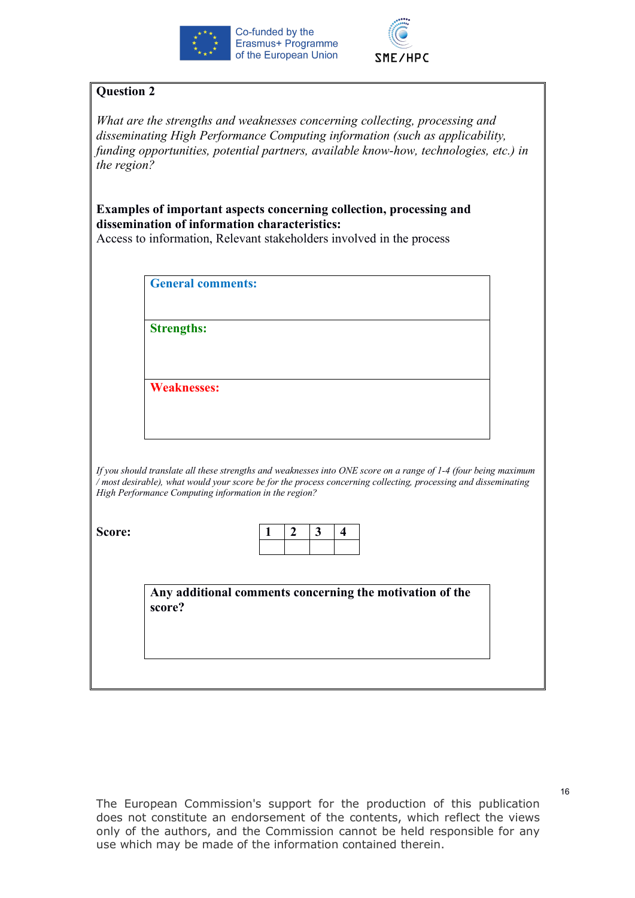



*What are the strengths and weaknesses concerning collecting, processing and disseminating High Performance Computing information (such as applicability, funding opportunities, potential partners, available know-how, technologies, etc.) in the region?*

**Examples of important aspects concerning collection, processing and dissemination of information characteristics:**

Access to information, Relevant stakeholders involved in the process

**General comments:**

**Strengths:**

**Weaknesses:**

*If you should translate all these strengths and weaknesses into ONE score on a range of 1-4 (four being maximum / most desirable), what would your score be for the process concerning collecting, processing and disseminating High Performance Computing information in the region?*

**Score:** 

**Any additional comments concerning the motivation of the score?**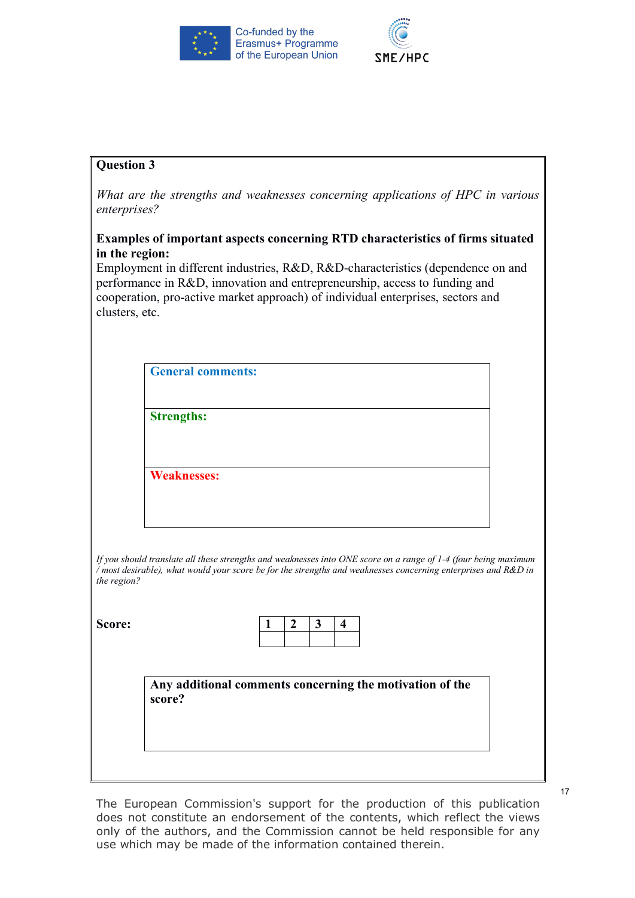



*What are the strengths and weaknesses concerning applications of HPC in various enterprises?*

### **Examples of important aspects concerning RTD characteristics of firms situated in the region:**

Employment in different industries, R&D, R&D-characteristics (dependence on and performance in R&D, innovation and entrepreneurship, access to funding and cooperation, pro-active market approach) of individual enterprises, sectors and clusters, etc.

|                    | <b>General comments:</b>                                                                                                                                                                                                          |                       |                              |  |  |
|--------------------|-----------------------------------------------------------------------------------------------------------------------------------------------------------------------------------------------------------------------------------|-----------------------|------------------------------|--|--|
| <b>Strengths:</b>  |                                                                                                                                                                                                                                   |                       |                              |  |  |
| <b>Weaknesses:</b> |                                                                                                                                                                                                                                   |                       |                              |  |  |
|                    |                                                                                                                                                                                                                                   |                       |                              |  |  |
|                    |                                                                                                                                                                                                                                   |                       |                              |  |  |
|                    | If you should translate all these strengths and weaknesses into ONE score on a range of 1-4 (four being maximum<br>/ most desirable), what would your score be for the strengths and weaknesses concerning enterprises and R&D in |                       |                              |  |  |
| the region?        |                                                                                                                                                                                                                                   | $\boldsymbol{2}$<br>1 | 3<br>$\overline{\mathbf{4}}$ |  |  |
|                    |                                                                                                                                                                                                                                   |                       |                              |  |  |
| score?             | Any additional comments concerning the motivation of the                                                                                                                                                                          |                       |                              |  |  |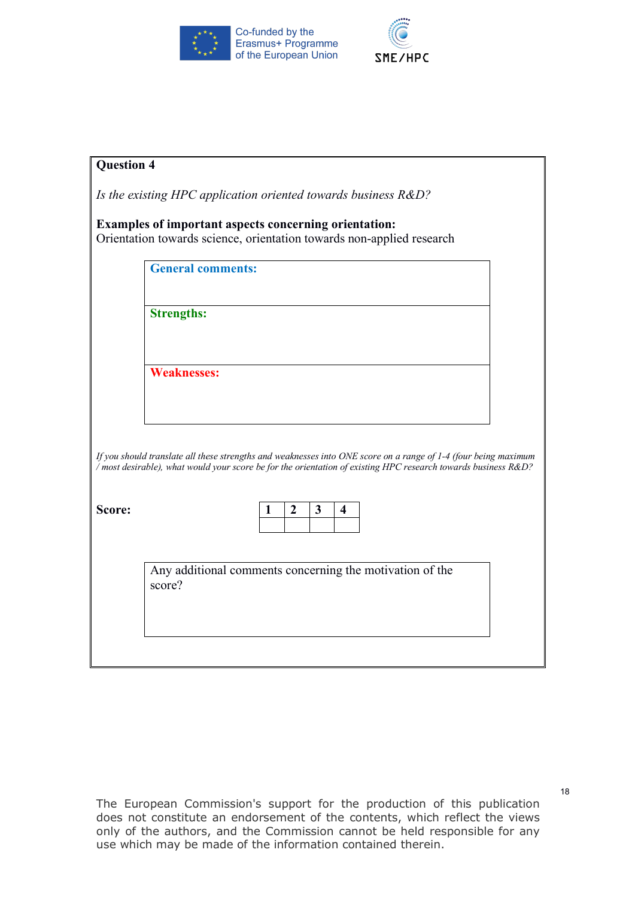



| <b>Question 4</b> |                                                                                                                                                                                                                                   |
|-------------------|-----------------------------------------------------------------------------------------------------------------------------------------------------------------------------------------------------------------------------------|
|                   | Is the existing HPC application oriented towards business $R&D$ ?                                                                                                                                                                 |
|                   | Examples of important aspects concerning orientation:<br>Orientation towards science, orientation towards non-applied research                                                                                                    |
|                   | <b>General comments:</b>                                                                                                                                                                                                          |
|                   | <b>Strengths:</b>                                                                                                                                                                                                                 |
|                   | <b>Weaknesses:</b>                                                                                                                                                                                                                |
|                   | If you should translate all these strengths and weaknesses into ONE score on a range of 1-4 (four being maximum<br>/ most desirable), what would your score be for the orientation of existing HPC research towards business R&D? |
| Score:            | $\boldsymbol{2}$<br>$\mathbf{3}$<br>$\overline{\mathbf{4}}$                                                                                                                                                                       |
|                   | Any additional comments concerning the motivation of the<br>score?                                                                                                                                                                |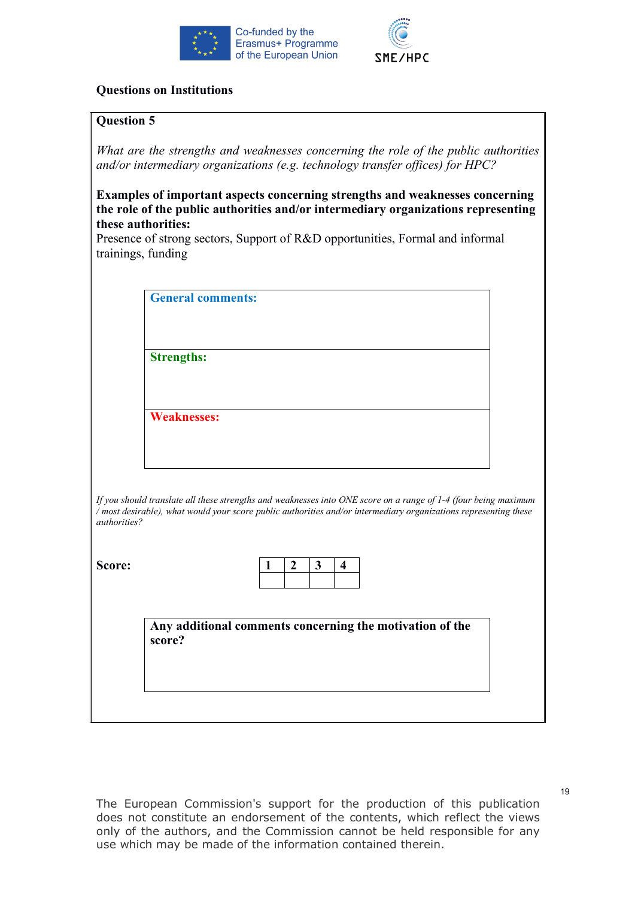



# **Questions on Institutions**

#### **Question 5**

*What are the strengths and weaknesses concerning the role of the public authorities and/or intermediary organizations (e.g. technology transfer offices) for HPC?* 

**Examples of important aspects concerning strengths and weaknesses concerning the role of the public authorities and/or intermediary organizations representing these authorities:**

Presence of strong sectors, Support of R&D opportunities, Formal and informal trainings, funding

**General comments:**

**Weaknesses:**

**Strengths:**

*If you should translate all these strengths and weaknesses into ONE score on a range of 1-4 (four being maximum / most desirable), what would your score public authorities and/or intermediary organizations representing these authorities?*

**Score:** 

**Any additional comments concerning the motivation of the score?**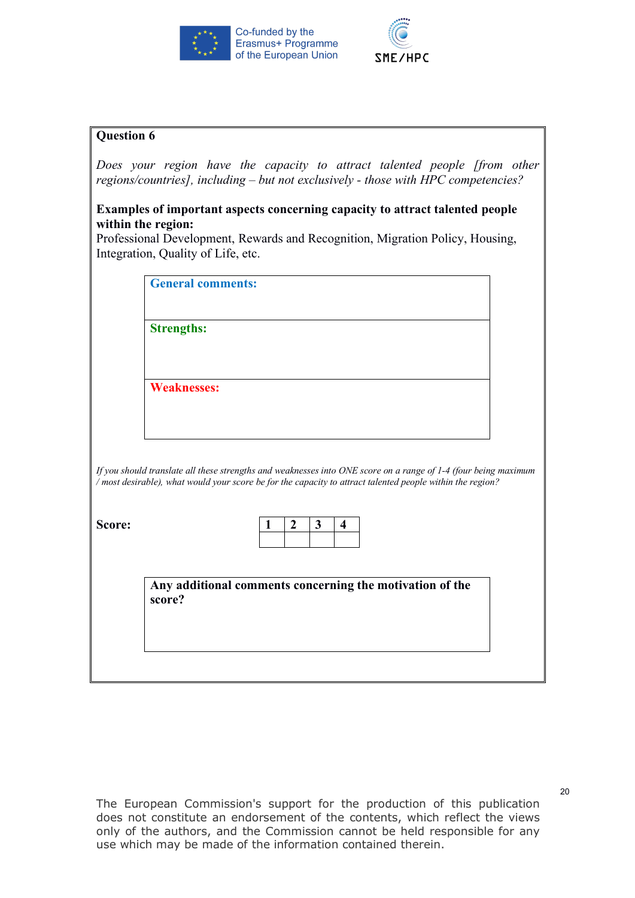



*2. Does your region have the capacity to attract talented people [from other regions/countries], including – but not exclusively - those with HPC competencies?*

#### **Examples of important aspects concerning capacity to attract talented people within the region:**

Professional Development, Rewards and Recognition, Migration Policy, Housing, Integration, Quality of Life, etc.

|        | <b>General comments:</b> |              |                |   |                         |                                                                                                                 |
|--------|--------------------------|--------------|----------------|---|-------------------------|-----------------------------------------------------------------------------------------------------------------|
|        | <b>Strengths:</b>        |              |                |   |                         |                                                                                                                 |
|        | <b>Weaknesses:</b>       |              |                |   |                         |                                                                                                                 |
|        |                          |              |                |   |                         |                                                                                                                 |
|        |                          |              |                |   |                         | If you should translate all these strengths and weaknesses into ONE score on a range of 1-4 (four being maximum |
|        |                          |              |                |   |                         | / most desirable), what would your score be for the capacity to attract talented people within the region?      |
|        |                          |              |                |   |                         |                                                                                                                 |
| Score: |                          | $\mathbf{1}$ | $\overline{2}$ | 3 | $\overline{\mathbf{4}}$ |                                                                                                                 |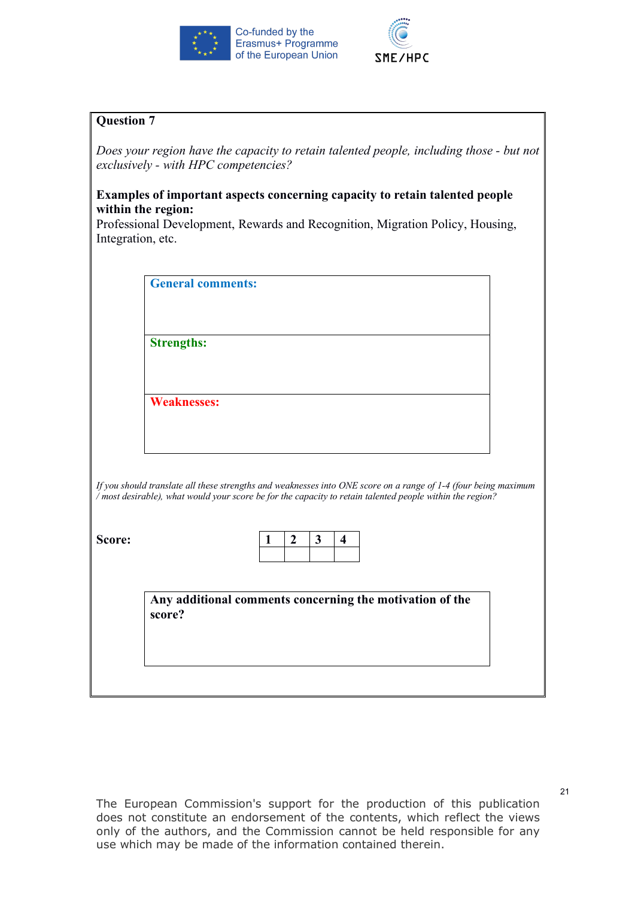



*3. Does your region have the capacity to retain talented people, including those - but not exclusively - with HPC competencies?*

### **Examples of important aspects concerning capacity to retain talented people within the region:**

Professional Development, Rewards and Recognition, Migration Policy, Housing, Integration, etc.

|  | <b>General comments:</b> |
|--|--------------------------|
|--|--------------------------|

**Strengths:**

**Weaknesses:**

*If you should translate all these strengths and weaknesses into ONE score on a range of 1-4 (four being maximum / most desirable), what would your score be for the capacity to retain talented people within the region?*

**Score:** 

**Any additional comments concerning the motivation of the score?**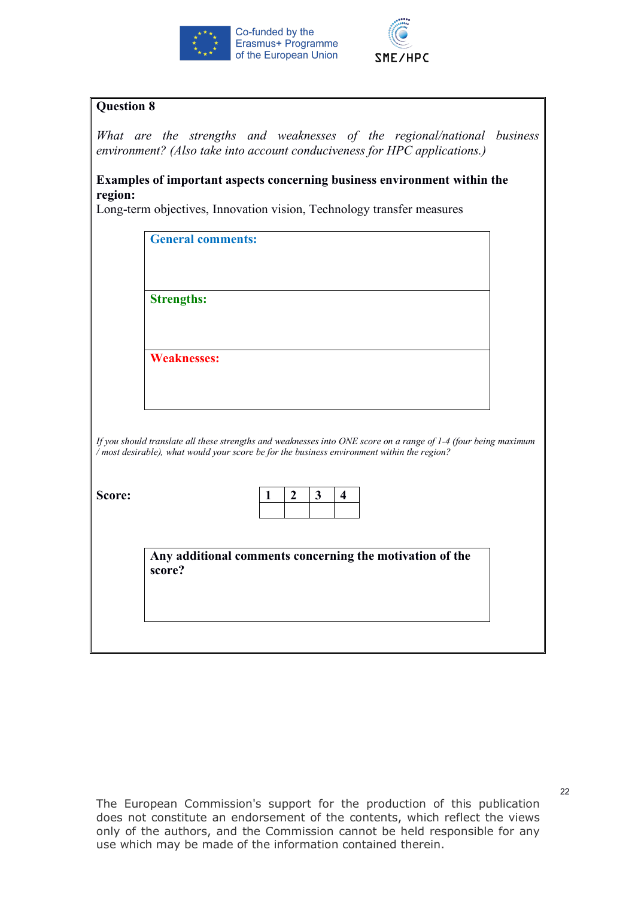



*4. What are the strengths and weaknesses of the regional/national business environment? (Also take into account conduciveness for HPC applications.)*

**Examples of important aspects concerning business environment within the region:**

| <b>Strengths:</b><br><b>Weaknesses:</b>                                                     |                       |                                         |                                                                                                                 |                                                          |
|---------------------------------------------------------------------------------------------|-----------------------|-----------------------------------------|-----------------------------------------------------------------------------------------------------------------|----------------------------------------------------------|
|                                                                                             |                       |                                         |                                                                                                                 |                                                          |
|                                                                                             |                       |                                         |                                                                                                                 |                                                          |
|                                                                                             |                       |                                         |                                                                                                                 |                                                          |
|                                                                                             |                       |                                         |                                                                                                                 |                                                          |
|                                                                                             |                       |                                         |                                                                                                                 |                                                          |
| / most desirable), what would your score be for the business environment within the region? |                       |                                         | If you should translate all these strengths and weaknesses into ONE score on a range of 1-4 (four being maximum |                                                          |
|                                                                                             | $\boldsymbol{2}$<br>1 | $\mathbf{3}$<br>$\overline{\mathbf{4}}$ |                                                                                                                 |                                                          |
|                                                                                             |                       |                                         |                                                                                                                 |                                                          |
|                                                                                             |                       |                                         |                                                                                                                 |                                                          |
| score?                                                                                      |                       |                                         |                                                                                                                 |                                                          |
|                                                                                             |                       |                                         |                                                                                                                 | Any additional comments concerning the motivation of the |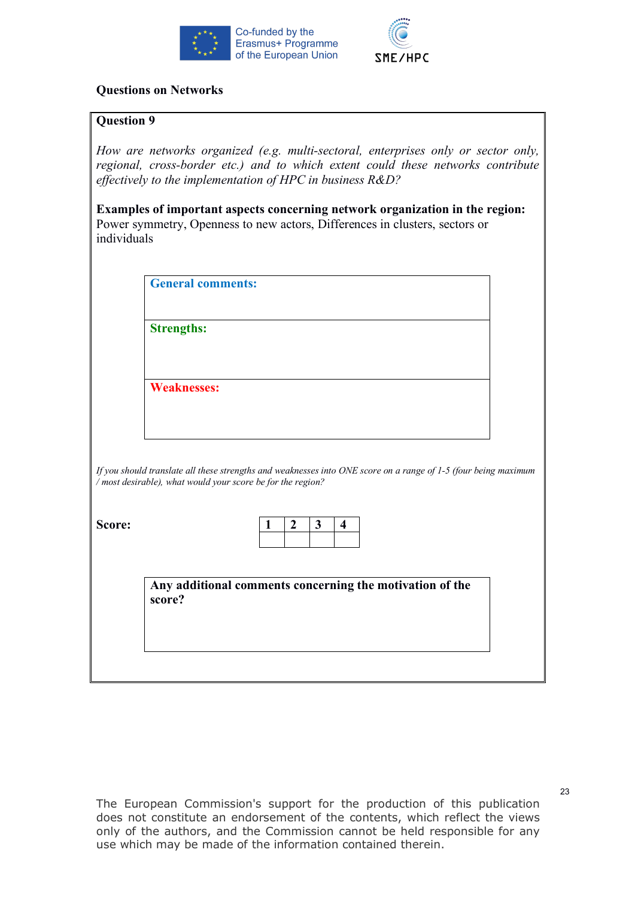



#### **Questions on Networks**

#### **Question 9**

*How are networks organized (e.g. multi-sectoral, enterprises only or sector only, regional, cross-border etc.) and to which extent could these networks contribute effectively to the implementation of HPC in business R&D?*

**Examples of important aspects concerning network organization in the region:** Power symmetry, Openness to new actors, Differences in clusters, sectors or individuals

|        | <b>General comments:</b>                                    |   |                |              |                         |                                                                                                                 |
|--------|-------------------------------------------------------------|---|----------------|--------------|-------------------------|-----------------------------------------------------------------------------------------------------------------|
|        | <b>Strengths:</b>                                           |   |                |              |                         |                                                                                                                 |
|        | <b>Weaknesses:</b>                                          |   |                |              |                         |                                                                                                                 |
|        |                                                             |   |                |              |                         |                                                                                                                 |
|        | / most desirable), what would your score be for the region? |   |                |              |                         | If you should translate all these strengths and weaknesses into ONE score on a range of 1-5 (four being maximum |
|        |                                                             |   |                |              |                         |                                                                                                                 |
| Score: |                                                             | 1 | $\overline{2}$ | $\mathbf{3}$ | $\overline{\mathbf{4}}$ |                                                                                                                 |
|        |                                                             |   |                |              |                         |                                                                                                                 |
|        |                                                             |   |                |              |                         | Any additional comments concerning the motivation of the                                                        |
|        | score?                                                      |   |                |              |                         |                                                                                                                 |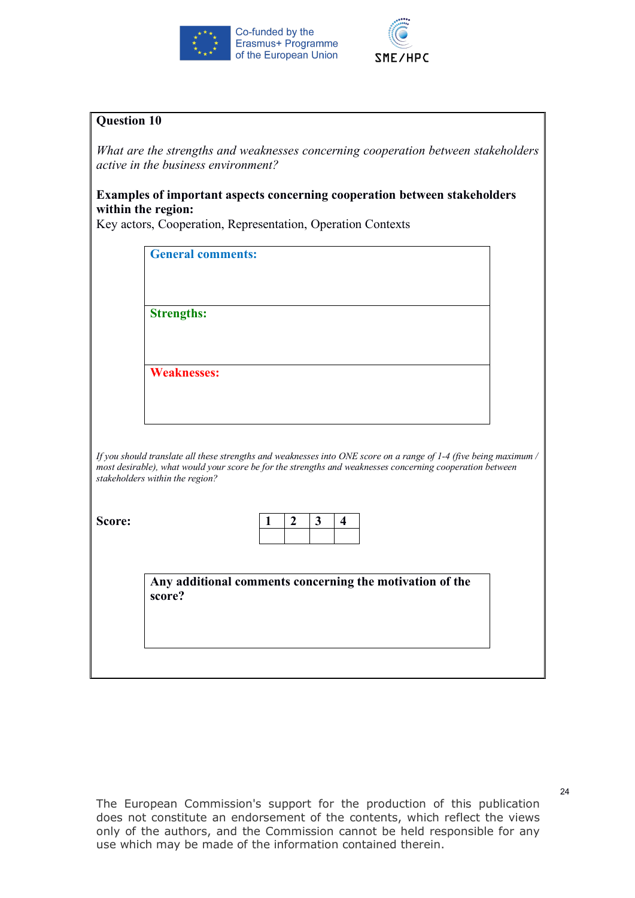



*1. What are the strengths and weaknesses concerning cooperation between stakeholders active in the business environment?* 

# **Examples of important aspects concerning cooperation between stakeholders within the region:**

Key actors, Cooperation, Representation, Operation Contexts

| <b>Strengths:</b>                                                                                                                            |   |                  |              |                         |  |  |
|----------------------------------------------------------------------------------------------------------------------------------------------|---|------------------|--------------|-------------------------|--|--|
|                                                                                                                                              |   |                  |              |                         |  |  |
| <b>Weaknesses:</b>                                                                                                                           |   |                  |              |                         |  |  |
|                                                                                                                                              |   |                  |              |                         |  |  |
|                                                                                                                                              |   |                  |              |                         |  |  |
| If you should translate all these strengths and weaknesses into ONE score on a range of 1-4 (five being maximum /                            |   |                  |              |                         |  |  |
| most desirable), what would your score be for the strengths and weaknesses concerning cooperation between<br>stakeholders within the region? |   |                  |              |                         |  |  |
|                                                                                                                                              |   |                  |              |                         |  |  |
|                                                                                                                                              | 1 | $\boldsymbol{2}$ | $\mathbf{3}$ | $\overline{\mathbf{4}}$ |  |  |
|                                                                                                                                              |   |                  |              |                         |  |  |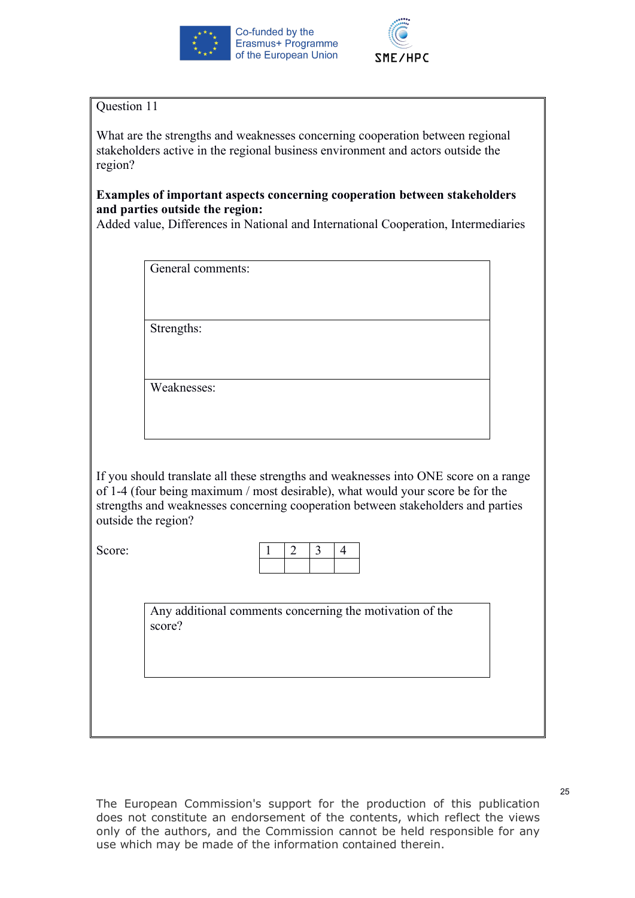



What are the strengths and weaknesses concerning cooperation between regional stakeholders active in the regional business environment and actors outside the region?

# **Examples of important aspects concerning cooperation between stakeholders and parties outside the region:**

Added value, Differences in National and International Cooperation, Intermediaries

General comments:

Strengths:

Weaknesses:

If you should translate all these strengths and weaknesses into ONE score on a range of 1-4 (four being maximum / most desirable), what would your score be for the strengths and weaknesses concerning cooperation between stakeholders and parties outside the region?

Score:

Any additional comments concerning the motivation of the score?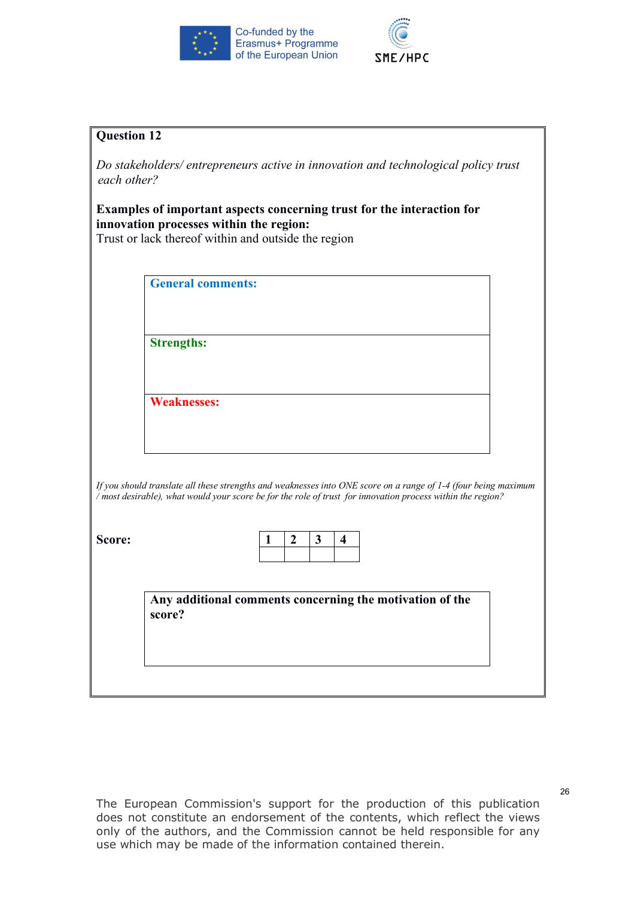



| <b>Question 12</b> |                                                                                                                                                                                                                                |
|--------------------|--------------------------------------------------------------------------------------------------------------------------------------------------------------------------------------------------------------------------------|
| each other?        | Do stakeholders/ entrepreneurs active in innovation and technological policy trust                                                                                                                                             |
|                    | Examples of important aspects concerning trust for the interaction for<br>innovation processes within the region:<br>Trust or lack thereof within and outside the region                                                       |
|                    | <b>General comments:</b>                                                                                                                                                                                                       |
|                    | <b>Strengths:</b>                                                                                                                                                                                                              |
|                    | <b>Weaknesses:</b>                                                                                                                                                                                                             |
|                    | If you should translate all these strengths and weaknesses into ONE score on a range of 1-4 (four being maximum<br>/ most desirable), what would your score be for the role of trust for innovation process within the region? |
| Score:             | $\mathbf{3}$<br>$\boldsymbol{2}$<br>4<br>1                                                                                                                                                                                     |
|                    | Any additional comments concerning the motivation of the<br>score?                                                                                                                                                             |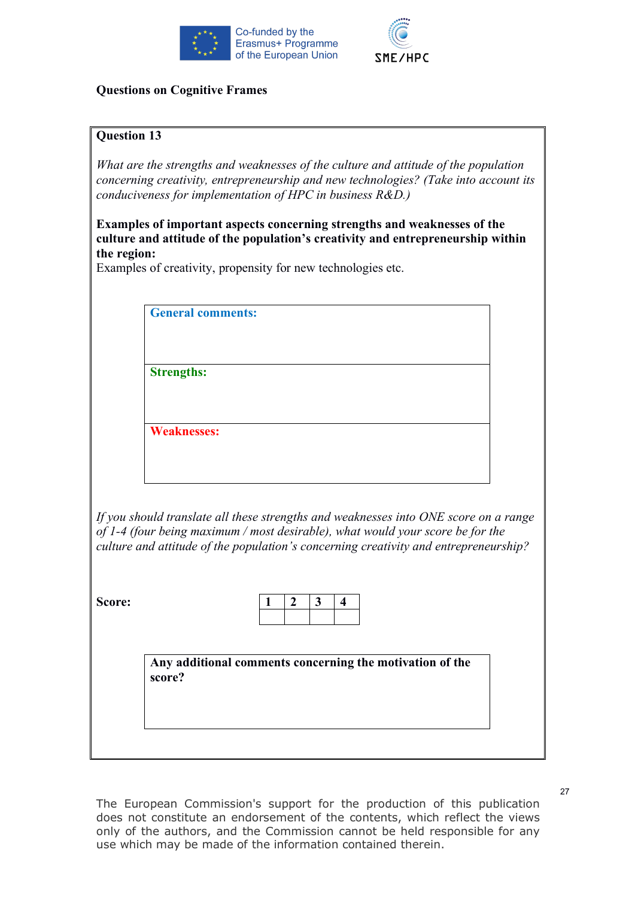



#### **Questions on Cognitive Frames**

#### **Question 13**

*What are the strengths and weaknesses of the culture and attitude of the population concerning creativity, entrepreneurship and new technologies? (Take into account its conduciveness for implementation of HPC in business R&D.)*

**Examples of important aspects concerning strengths and weaknesses of the culture and attitude of the population's creativity and entrepreneurship within the region:**

Examples of creativity, propensity for new technologies etc.

**General comments:**

**Strengths:**

**Weaknesses:**

*If you should translate all these strengths and weaknesses into ONE score on a range of 1-4 (four being maximum / most desirable), what would your score be for the culture and attitude of the population's concerning creativity and entrepreneurship?*

**Score:** 

**Any additional comments concerning the motivation of the score?**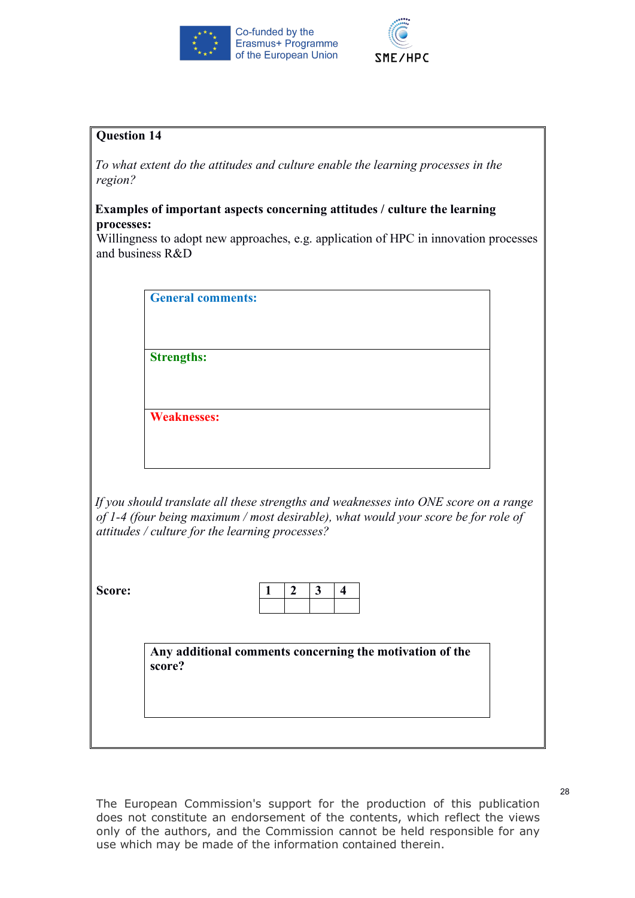



*To what extent do the attitudes and culture enable the learning processes in the region?*

#### **Examples of important aspects concerning attitudes / culture the learning processes:**

Willingness to adopt new approaches, e.g. application of HPC in innovation processes and business R&D

**General comments:**

**Strengths:**

**Weaknesses:**

*If you should translate all these strengths and weaknesses into ONE score on a range of 1-4 (four being maximum / most desirable), what would your score be for role of attitudes / culture for the learning processes?*

**Score:** 

**Any additional comments concerning the motivation of the score?**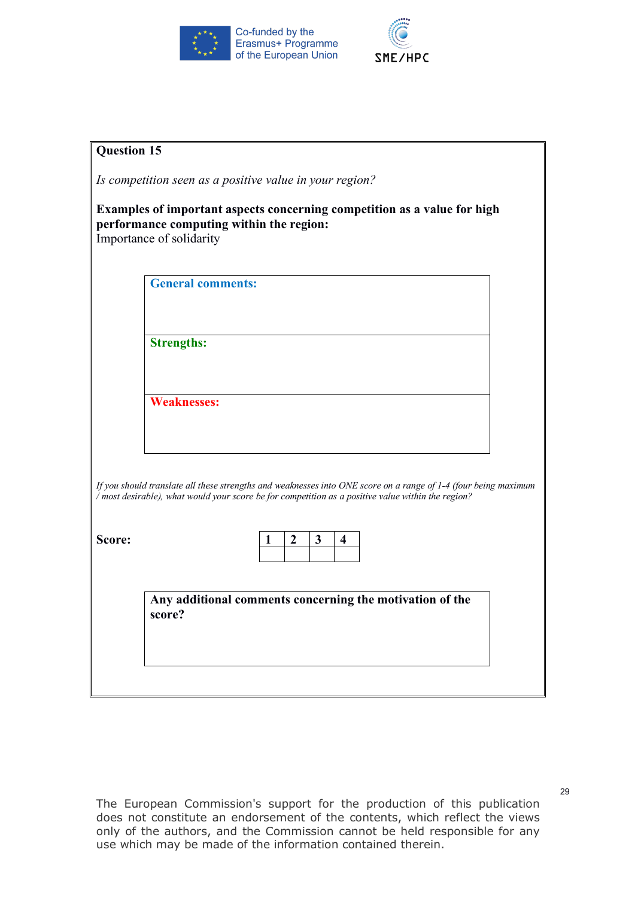



| <b>Question 15</b> |                                                                                                                                                                                                                       |
|--------------------|-----------------------------------------------------------------------------------------------------------------------------------------------------------------------------------------------------------------------|
|                    | Is competition seen as a positive value in your region?                                                                                                                                                               |
|                    | Examples of important aspects concerning competition as a value for high<br>performance computing within the region:<br>Importance of solidarity                                                                      |
|                    | <b>General comments:</b>                                                                                                                                                                                              |
|                    |                                                                                                                                                                                                                       |
|                    | <b>Strengths:</b>                                                                                                                                                                                                     |
|                    |                                                                                                                                                                                                                       |
|                    | <b>Weaknesses:</b>                                                                                                                                                                                                    |
|                    |                                                                                                                                                                                                                       |
|                    |                                                                                                                                                                                                                       |
|                    | If you should translate all these strengths and weaknesses into ONE score on a range of 1-4 (four being maximum<br>/ most desirable), what would your score be for competition as a positive value within the region? |
| Score:             | $\boldsymbol{2}$<br>$\mathbf{3}$<br>$\overline{\mathbf{4}}$<br>1                                                                                                                                                      |
|                    |                                                                                                                                                                                                                       |
|                    | Any additional comments concerning the motivation of the<br>score?                                                                                                                                                    |
|                    |                                                                                                                                                                                                                       |
|                    |                                                                                                                                                                                                                       |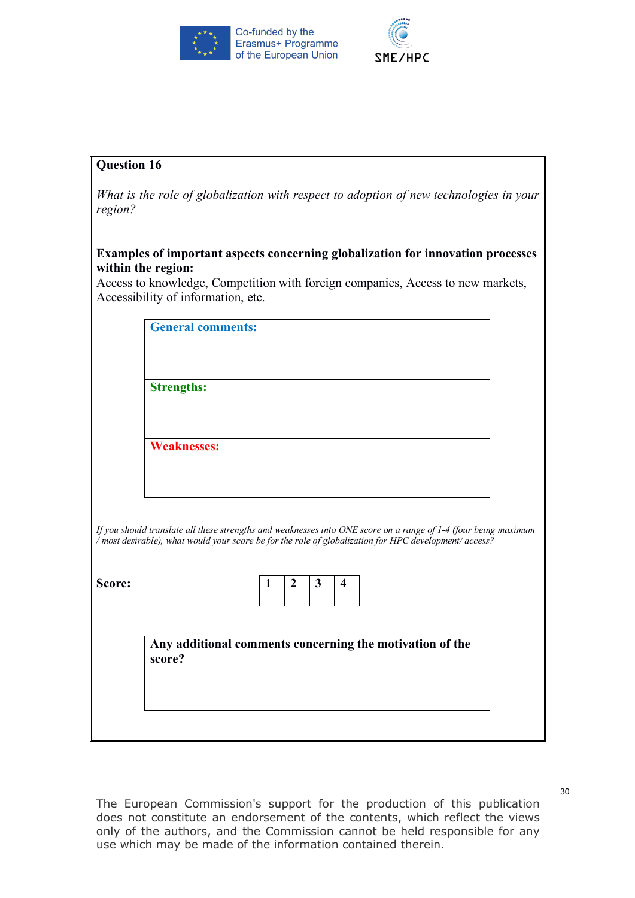



*What is the role of globalization with respect to adoption of new technologies in your region?*

#### **Examples of important aspects concerning globalization for innovation processes within the region:**

Access to knowledge, Competition with foreign companies, Access to new markets, Accessibility of information, etc.

| <b>Strengths:</b>                                                                                                                                                                                                         |                                                          |   |                  |   |                         |  |  |  |
|---------------------------------------------------------------------------------------------------------------------------------------------------------------------------------------------------------------------------|----------------------------------------------------------|---|------------------|---|-------------------------|--|--|--|
|                                                                                                                                                                                                                           |                                                          |   |                  |   |                         |  |  |  |
|                                                                                                                                                                                                                           |                                                          |   |                  |   |                         |  |  |  |
| <b>Weaknesses:</b>                                                                                                                                                                                                        |                                                          |   |                  |   |                         |  |  |  |
|                                                                                                                                                                                                                           |                                                          |   |                  |   |                         |  |  |  |
|                                                                                                                                                                                                                           |                                                          |   |                  |   |                         |  |  |  |
|                                                                                                                                                                                                                           |                                                          |   |                  |   |                         |  |  |  |
|                                                                                                                                                                                                                           |                                                          |   |                  |   |                         |  |  |  |
|                                                                                                                                                                                                                           |                                                          |   |                  |   |                         |  |  |  |
|                                                                                                                                                                                                                           |                                                          | 1 | $\boldsymbol{2}$ | 3 | $\overline{\mathbf{4}}$ |  |  |  |
| If you should translate all these strengths and weaknesses into ONE score on a range of 1-4 (four being maximum<br>/ most desirable), what would your score be for the role of globalization for HPC development/ access? |                                                          |   |                  |   |                         |  |  |  |
|                                                                                                                                                                                                                           |                                                          |   |                  |   |                         |  |  |  |
| score?                                                                                                                                                                                                                    | Any additional comments concerning the motivation of the |   |                  |   |                         |  |  |  |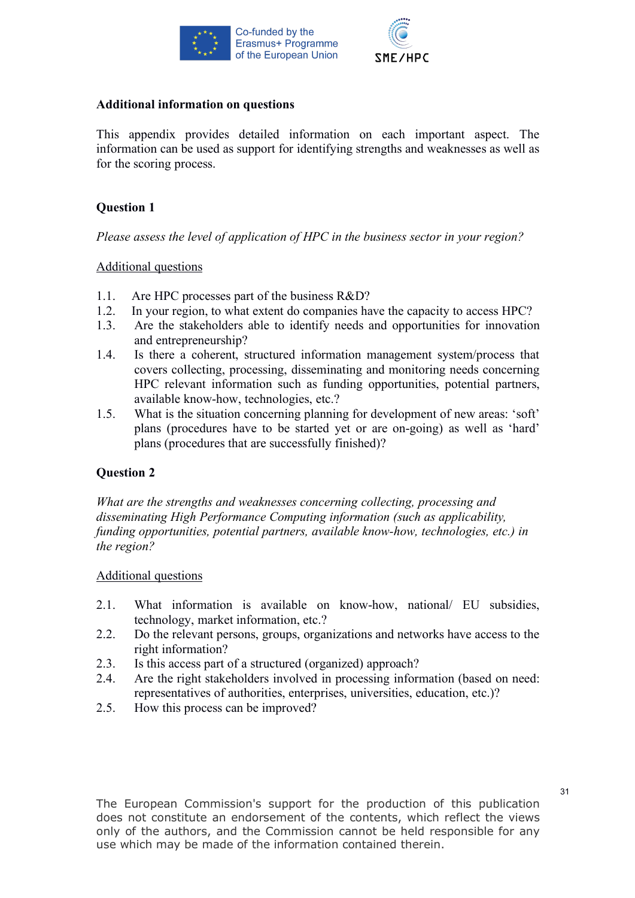



#### **Additional information on questions**

This appendix provides detailed information on each important aspect. The information can be used as support for identifying strengths and weaknesses as well as for the scoring process.

### **Question 1**

*Please assess the level of application of HPC in the business sector in your region?*

#### Additional questions

- 1.1. Are HPC processes part of the business R&D?
- 1.2. In your region, to what extent do companies have the capacity to access HPC?
- 1.3. Are the stakeholders able to identify needs and opportunities for innovation and entrepreneurship?
- 1.4. Is there a coherent, structured information management system/process that covers collecting, processing, disseminating and monitoring needs concerning HPC relevant information such as funding opportunities, potential partners, available know-how, technologies, etc.?
- 1.5. What is the situation concerning planning for development of new areas: 'soft' plans (procedures have to be started yet or are on-going) as well as 'hard' plans (procedures that are successfully finished)?

# **Question 2**

*What are the strengths and weaknesses concerning collecting, processing and disseminating High Performance Computing information (such as applicability, funding opportunities, potential partners, available know-how, technologies, etc.) in the region?*

#### Additional questions

- 2.1. What information is available on know-how, national/ EU subsidies, technology, market information, etc.?
- 2.2. Do the relevant persons, groups, organizations and networks have access to the right information?
- 2.3. Is this access part of a structured (organized) approach?
- 2.4. Are the right stakeholders involved in processing information (based on need: representatives of authorities, enterprises, universities, education, etc.)?
- 2.5. How this process can be improved?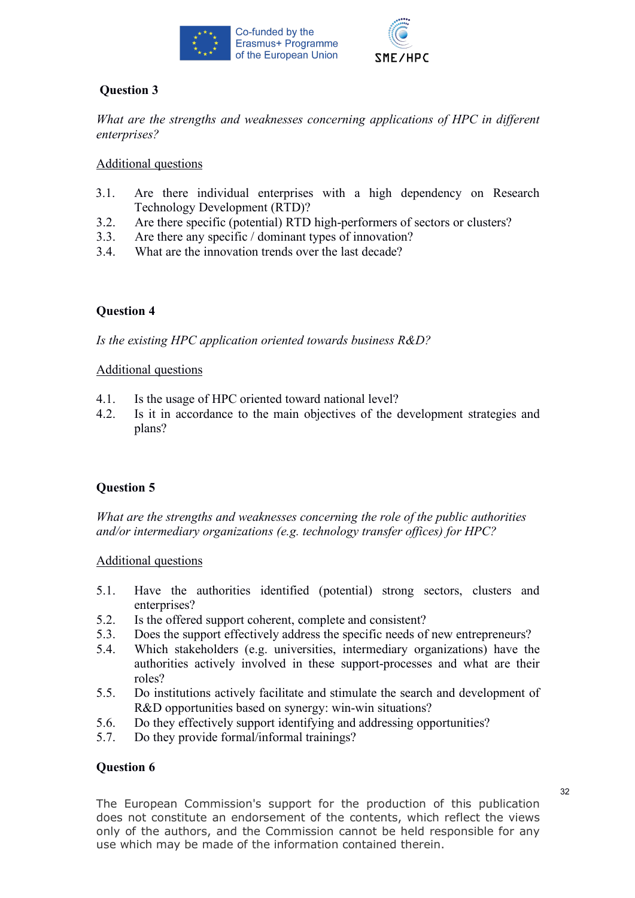



*What are the strengths and weaknesses concerning applications of HPC in different enterprises?*

### Additional questions

- 3.1. Are there individual enterprises with a high dependency on Research Technology Development (RTD)?
- 3.2. Are there specific (potential) RTD high-performers of sectors or clusters?
- 3.3. Are there any specific / dominant types of innovation?
- 3.4. What are the innovation trends over the last decade?

# **Question 4**

*Is the existing HPC application oriented towards business R&D?*

#### Additional questions

- 4.1. Is the usage of HPC oriented toward national level?
- 4.2. Is it in accordance to the main objectives of the development strategies and plans?

# **Question 5**

*What are the strengths and weaknesses concerning the role of the public authorities and/or intermediary organizations (e.g. technology transfer offices) for HPC?* 

#### Additional questions

- 5.1. Have the authorities identified (potential) strong sectors, clusters and enterprises?
- 5.2. Is the offered support coherent, complete and consistent?
- 5.3. Does the support effectively address the specific needs of new entrepreneurs?
- 5.4. Which stakeholders (e.g. universities, intermediary organizations) have the authorities actively involved in these support-processes and what are their roles?
- 5.5. Do institutions actively facilitate and stimulate the search and development of R&D opportunities based on synergy: win-win situations?
- 5.6. Do they effectively support identifying and addressing opportunities?
- 5.7. Do they provide formal/informal trainings?

#### **Question 6**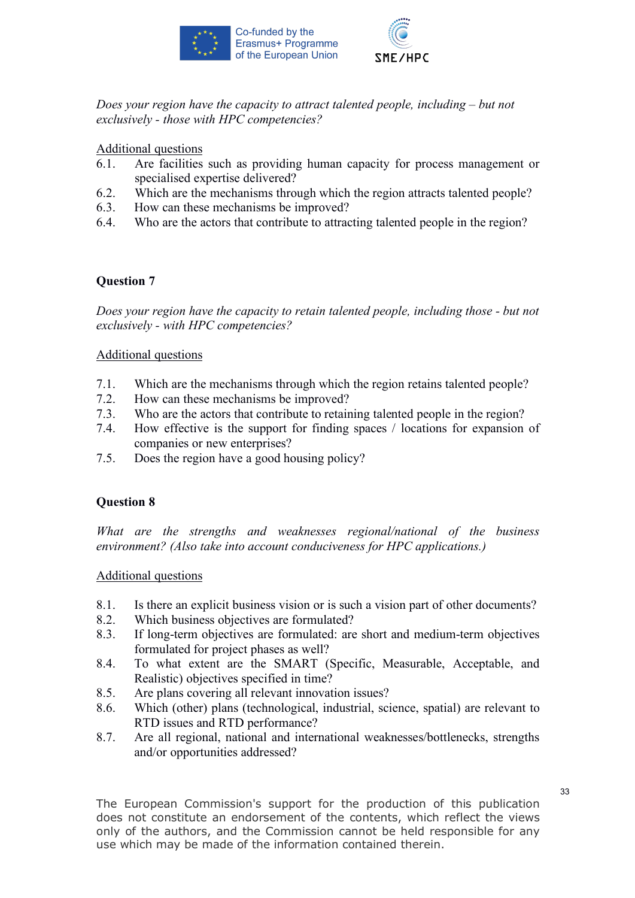



*Does your region have the capacity to attract talented people, including – but not exclusively - those with HPC competencies?*

Additional questions

- 6.1. Are facilities such as providing human capacity for process management or specialised expertise delivered?
- 6.2. Which are the mechanisms through which the region attracts talented people?
- 6.3. How can these mechanisms be improved?
- 6.4. Who are the actors that contribute to attracting talented people in the region?

# **Question 7**

*Does your region have the capacity to retain talented people, including those - but not exclusively - with HPC competencies?*

#### Additional questions

- 7.1. Which are the mechanisms through which the region retains talented people?
- 7.2. How can these mechanisms be improved?
- 7.3. Who are the actors that contribute to retaining talented people in the region?
- 7.4. How effective is the support for finding spaces / locations for expansion of companies or new enterprises?
- 7.5. Does the region have a good housing policy?

# **Question 8**

*What are the strengths and weaknesses regional/national of the business environment? (Also take into account conduciveness for HPC applications.)*

#### Additional questions

- 8.1. Is there an explicit business vision or is such a vision part of other documents?
- 8.2. Which business objectives are formulated?
- 8.3. If long-term objectives are formulated: are short and medium-term objectives formulated for project phases as well?
- 8.4. To what extent are the SMART (Specific, Measurable, Acceptable, and Realistic) objectives specified in time?
- 8.5. Are plans covering all relevant innovation issues?
- 8.6. Which (other) plans (technological, industrial, science, spatial) are relevant to RTD issues and RTD performance?
- 8.7. Are all regional, national and international weaknesses/bottlenecks, strengths and/or opportunities addressed?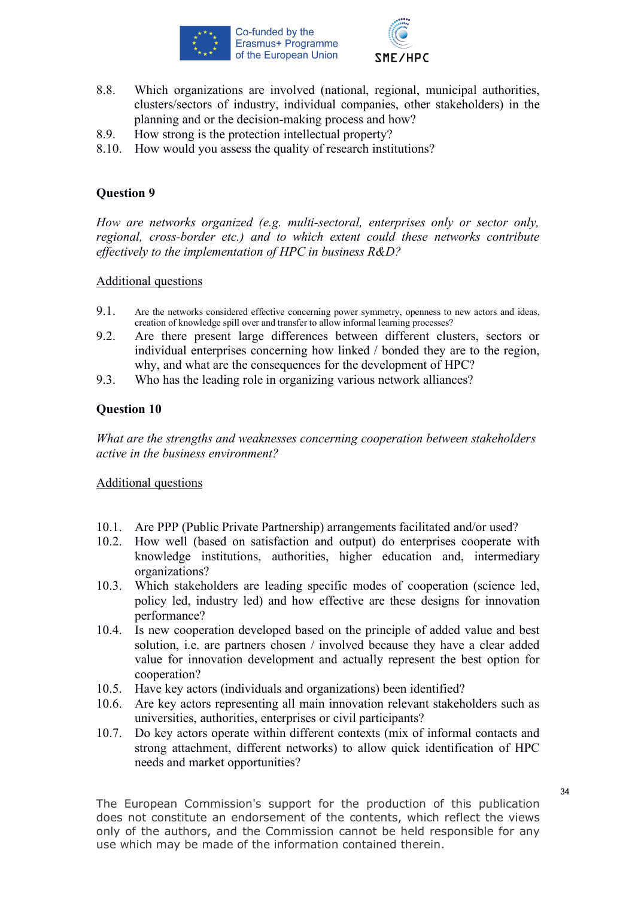



- 8.8. Which organizations are involved (national, regional, municipal authorities, clusters/sectors of industry, individual companies, other stakeholders) in the planning and or the decision-making process and how?
- 8.9. How strong is the protection intellectual property?
- 8.10. How would you assess the quality of research institutions?

*How are networks organized (e.g. multi-sectoral, enterprises only or sector only, regional, cross-border etc.) and to which extent could these networks contribute effectively to the implementation of HPC in business R&D?*

#### Additional questions

- 9.1. Are the networks considered effective concerning power symmetry, openness to new actors and ideas, creation of knowledge spill over and transfer to allow informal learning processes?
- 9.2. Are there present large differences between different clusters, sectors or individual enterprises concerning how linked / bonded they are to the region, why, and what are the consequences for the development of HPC?
- 9.3. Who has the leading role in organizing various network alliances?

# **Question 10**

*What are the strengths and weaknesses concerning cooperation between stakeholders active in the business environment?* 

#### Additional questions

- 10.1. Are PPP (Public Private Partnership) arrangements facilitated and/or used?
- 10.2. How well (based on satisfaction and output) do enterprises cooperate with knowledge institutions, authorities, higher education and, intermediary organizations?
- 10.3. Which stakeholders are leading specific modes of cooperation (science led, policy led, industry led) and how effective are these designs for innovation performance?
- 10.4. Is new cooperation developed based on the principle of added value and best solution, i.e. are partners chosen / involved because they have a clear added value for innovation development and actually represent the best option for cooperation?
- 10.5. Have key actors (individuals and organizations) been identified?
- 10.6. Are key actors representing all main innovation relevant stakeholders such as universities, authorities, enterprises or civil participants?
- 10.7. Do key actors operate within different contexts (mix of informal contacts and strong attachment, different networks) to allow quick identification of HPC needs and market opportunities?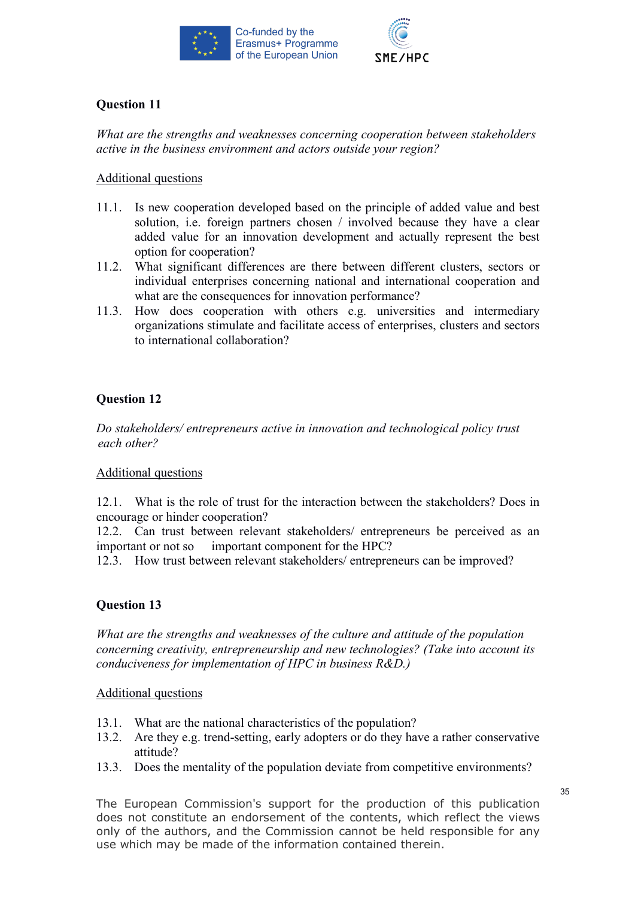



*What are the strengths and weaknesses concerning cooperation between stakeholders active in the business environment and actors outside your region?*

#### Additional questions

- 11.1. Is new cooperation developed based on the principle of added value and best solution, i.e. foreign partners chosen / involved because they have a clear added value for an innovation development and actually represent the best option for cooperation?
- 11.2. What significant differences are there between different clusters, sectors or individual enterprises concerning national and international cooperation and what are the consequences for innovation performance?
- 11.3. How does cooperation with others e.g. universities and intermediary organizations stimulate and facilitate access of enterprises, clusters and sectors to international collaboration?

# **Question 12**

*Do stakeholders/ entrepreneurs active in innovation and technological policy trust each other?*

#### Additional questions

12.1. What is the role of trust for the interaction between the stakeholders? Does in encourage or hinder cooperation?

12.2. Can trust between relevant stakeholders/ entrepreneurs be perceived as an important or not so important component for the HPC?

12.3. How trust between relevant stakeholders/ entrepreneurs can be improved?

# **Question 13**

*What are the strengths and weaknesses of the culture and attitude of the population concerning creativity, entrepreneurship and new technologies? (Take into account its conduciveness for implementation of HPC in business R&D.)*

#### Additional questions

- 13.1. What are the national characteristics of the population?
- 13.2. Are they e.g. trend-setting, early adopters or do they have a rather conservative attitude?
- 13.3. Does the mentality of the population deviate from competitive environments?